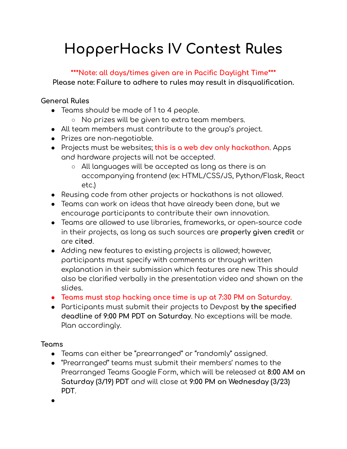# **HopperHacks IV Contest Rules**

#### **\*\*\*Note: all days/times given are in Pacific Daylight Time\*\*\***

**Please note: Failure to adhere to rules may result in disqualification.**

#### **General Rules**

- Teams should be made of 1 to 4 people.
	- No prizes will be given to extra team members.
- All team members must contribute to the group's project.
- Prizes are non-negotiable.
- Projects must be websites; **this is a web dev only hackathon**. Apps and hardware projects will not be accepted.
	- All languages will be accepted as long as there is an accompanying frontend (ex: HTML/CSS/JS, Python/Flask, React etc.)
- Reusing code from other projects or hackathons is not allowed.
- Teams can work on ideas that have already been done, but we encourage participants to contribute their own innovation.
- Teams are allowed to use libraries, frameworks, or open-source code in their projects, as long as such sources are **properly given credit** or are **cited**.
- Adding new features to existing projects is allowed; however, participants must specify with comments or through written explanation in their submission which features are new. This should also be clarified verbally in the presentation video and shown on the slides.
- **● Teams must stop hacking once time is up at 7:30 PM on Saturday.**
- Participants must submit their projects to Devpost **by the specified deadline of 9:00 PM PDT on Saturday**. No exceptions will be made. Plan accordingly.

## **Teams**

- Teams can either be "prearranged" or "randomly" assigned.
- "Prearranged" teams must submit their members' names to the Prearranged Teams Google Form, which will be released at **8:00 AM on Saturday (3/19) PDT** and will close at **9:00 PM on Wednesday (3/23) PDT**.

**●**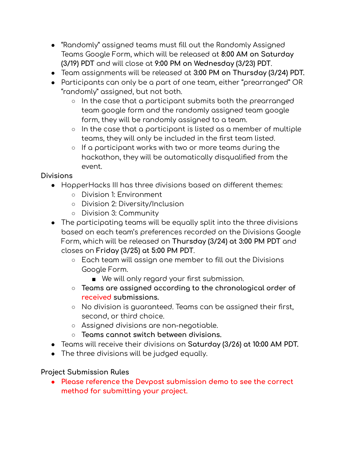- "Randomly" assigned teams must fill out the Randomly Assigned Teams Google Form, which will be released at **8:00 AM on Saturday (3/19) PDT** and will close at **9:00 PM on Wednesday (3/23) PDT**.
- Team assignments will be released at **3:00 PM on Thursday (3/24) PDT.**
- Participants can only be a part of one team, either "prearranged" OR "randomly" assigned, but not both.
	- In the case that a participant submits both the prearranged team google form and the randomly assigned team google form, they will be randomly assigned to a team.
	- $\circ$  In the case that a participant is listed as a member of multiple teams, they will only be included in the first team listed.
	- If a participant works with two or more teams during the hackathon, they will be automatically disqualified from the event.

#### **Divisions**

- HopperHacks III has three divisions based on different themes:
	- Division 1: Environment
	- Division 2: Diversity/Inclusion
	- Division 3: Community
- The participating teams will be equally split into the three divisions based on each team's preferences recorded on the Divisions Google Form, which will be released on **Thursday (3/24) at 3:00 PM PDT** and closes on **Friday (3/25) at 5:00 PM PDT**.
	- Each team will assign one member to fill out the Divisions Google Form.
		- We will only regard your first submission.
	- **○ Teams are assigned according to the chronological order of received submissions.**
	- No division is guaranteed. Teams can be assigned their first, second, or third choice.
	- Assigned divisions are non-negotiable.
	- **○ Teams cannot switch between divisions.**
- Teams will receive their divisions on **Saturday (3/26) at 10:00 AM PDT.**
- The three divisions will be judged equally.

## **Project Submission Rules**

**● Please reference the Devpost submission demo to see the correct method for submitting your project.**